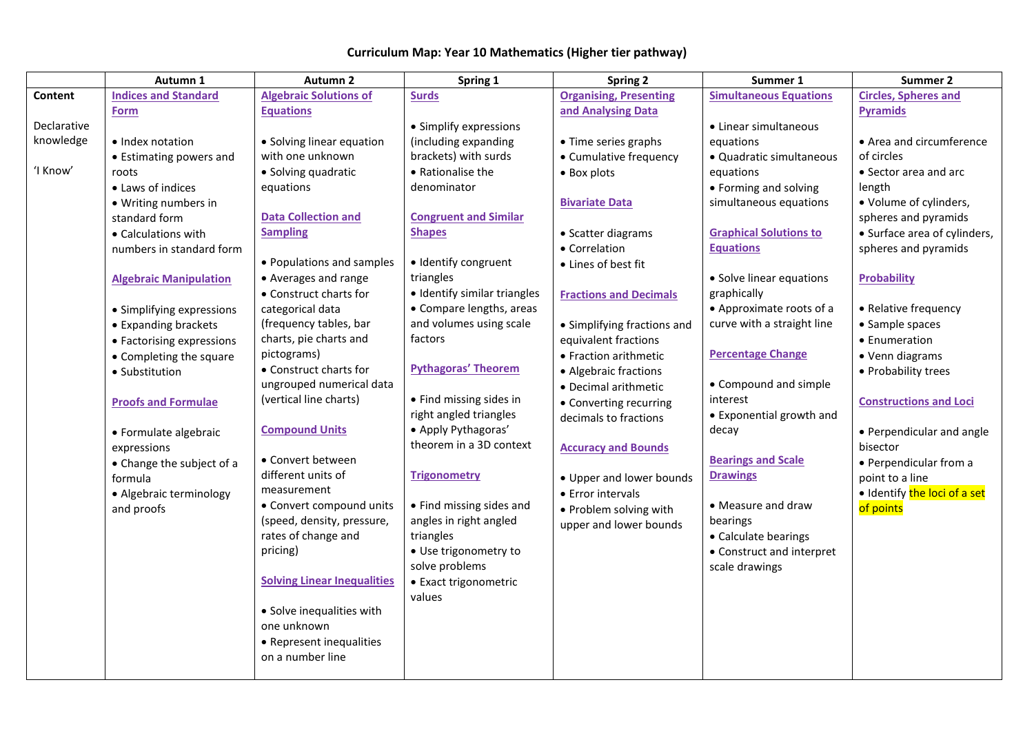|             | Autumn 1                      | <b>Autumn 2</b>                    | Spring 1                     | <b>Spring 2</b>               | Summer 1                      | Summer 2                      |
|-------------|-------------------------------|------------------------------------|------------------------------|-------------------------------|-------------------------------|-------------------------------|
| Content     | <b>Indices and Standard</b>   | <b>Algebraic Solutions of</b>      | <b>Surds</b>                 | <b>Organising, Presenting</b> | <b>Simultaneous Equations</b> | <b>Circles, Spheres and</b>   |
|             | <b>Form</b>                   | <b>Equations</b>                   |                              | and Analysing Data            |                               | <b>Pyramids</b>               |
| Declarative |                               |                                    | • Simplify expressions       |                               | • Linear simultaneous         |                               |
| knowledge   | • Index notation              | • Solving linear equation          | (including expanding         | • Time series graphs          | equations                     | • Area and circumference      |
|             | • Estimating powers and       | with one unknown                   | brackets) with surds         | • Cumulative frequency        | · Quadratic simultaneous      | of circles                    |
| 'I Know'    | roots                         | • Solving quadratic                | • Rationalise the            | • Box plots                   | equations                     | • Sector area and arc         |
|             | • Laws of indices             | equations                          | denominator                  |                               | • Forming and solving         | length                        |
|             | · Writing numbers in          |                                    |                              | <b>Bivariate Data</b>         | simultaneous equations        | • Volume of cylinders,        |
|             | standard form                 | <b>Data Collection and</b>         | <b>Congruent and Similar</b> |                               |                               | spheres and pyramids          |
|             | • Calculations with           | <b>Sampling</b>                    | <b>Shapes</b>                | • Scatter diagrams            | <b>Graphical Solutions to</b> | • Surface area of cylinders,  |
|             | numbers in standard form      |                                    |                              | • Correlation                 | <b>Equations</b>              | spheres and pyramids          |
|             |                               | • Populations and samples          | · Identify congruent         | • Lines of best fit           |                               |                               |
|             | <b>Algebraic Manipulation</b> | • Averages and range               | triangles                    |                               | • Solve linear equations      | <b>Probability</b>            |
|             |                               | • Construct charts for             | · Identify similar triangles | <b>Fractions and Decimals</b> | graphically                   |                               |
|             | • Simplifying expressions     | categorical data                   | • Compare lengths, areas     |                               | • Approximate roots of a      | • Relative frequency          |
|             | • Expanding brackets          | (frequency tables, bar             | and volumes using scale      | • Simplifying fractions and   | curve with a straight line    | • Sample spaces               |
|             | • Factorising expressions     | charts, pie charts and             | factors                      | equivalent fractions          |                               | • Enumeration                 |
|             | • Completing the square       | pictograms)                        |                              | • Fraction arithmetic         | <b>Percentage Change</b>      | • Venn diagrams               |
|             | • Substitution                | • Construct charts for             | <b>Pythagoras' Theorem</b>   | • Algebraic fractions         |                               | • Probability trees           |
|             |                               | ungrouped numerical data           |                              | • Decimal arithmetic          | • Compound and simple         |                               |
|             | <b>Proofs and Formulae</b>    | (vertical line charts)             | • Find missing sides in      | • Converting recurring        | interest                      | <b>Constructions and Loci</b> |
|             |                               |                                    | right angled triangles       | decimals to fractions         | • Exponential growth and      |                               |
|             | • Formulate algebraic         | <b>Compound Units</b>              | · Apply Pythagoras'          |                               | decay                         | • Perpendicular and angle     |
|             | expressions                   |                                    | theorem in a 3D context      | <b>Accuracy and Bounds</b>    |                               | bisector                      |
|             | • Change the subject of a     | • Convert between                  |                              |                               | <b>Bearings and Scale</b>     | • Perpendicular from a        |
|             | formula                       | different units of                 | <b>Trigonometry</b>          | • Upper and lower bounds      | <b>Drawings</b>               | point to a line               |
|             | · Algebraic terminology       | measurement                        |                              | • Error intervals             |                               | · Identify the loci of a set  |
|             | and proofs                    | • Convert compound units           | • Find missing sides and     | • Problem solving with        | • Measure and draw            | of points                     |
|             |                               | (speed, density, pressure,         | angles in right angled       | upper and lower bounds        | bearings                      |                               |
|             |                               | rates of change and                | triangles                    |                               | • Calculate bearings          |                               |
|             |                               | pricing)                           | · Use trigonometry to        |                               | • Construct and interpret     |                               |
|             |                               |                                    | solve problems               |                               | scale drawings                |                               |
|             |                               | <b>Solving Linear Inequalities</b> | • Exact trigonometric        |                               |                               |                               |
|             |                               |                                    | values                       |                               |                               |                               |
|             |                               | • Solve inequalities with          |                              |                               |                               |                               |
|             |                               | one unknown                        |                              |                               |                               |                               |
|             |                               | • Represent inequalities           |                              |                               |                               |                               |
|             |                               | on a number line                   |                              |                               |                               |                               |
|             |                               |                                    |                              |                               |                               |                               |

## **Curriculum Map: Year 10 Mathematics (Higher tier pathway)**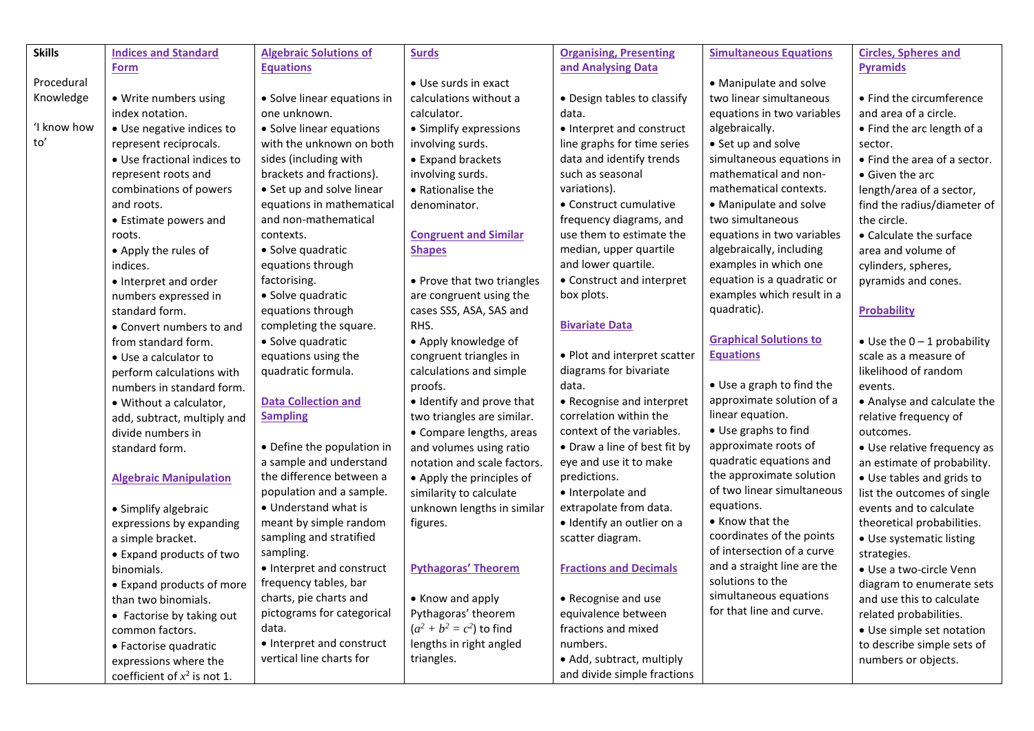| <b>Skills</b> | <b>Indices and Standard</b>    | <b>Algebraic Solutions of</b> | <b>Surds</b>                      | <b>Organising, Presenting</b> | <b>Simultaneous Equations</b> | <b>Circles, Spheres and</b>         |
|---------------|--------------------------------|-------------------------------|-----------------------------------|-------------------------------|-------------------------------|-------------------------------------|
|               | <b>Form</b>                    | <b>Equations</b>              |                                   | and Analysing Data            |                               | <b>Pyramids</b>                     |
| Procedural    |                                |                               | • Use surds in exact              |                               | • Manipulate and solve        |                                     |
| Knowledge     | • Write numbers using          | • Solve linear equations in   | calculations without a            | • Design tables to classify   | two linear simultaneous       | • Find the circumference            |
|               | index notation.                | one unknown.                  | calculator.                       | data.                         | equations in two variables    | and area of a circle.               |
| 'I know how   | · Use negative indices to      | • Solve linear equations      | • Simplify expressions            | • Interpret and construct     | algebraically.                | • Find the arc length of a          |
| to'           | represent reciprocals.         | with the unknown on both      | involving surds.                  | line graphs for time series   | • Set up and solve            | sector.                             |
|               | • Use fractional indices to    | sides (including with         | • Expand brackets                 | data and identify trends      | simultaneous equations in     | • Find the area of a sector.        |
|               | represent roots and            | brackets and fractions).      | involving surds.                  | such as seasonal              | mathematical and non-         | • Given the arc                     |
|               | combinations of powers         | • Set up and solve linear     | • Rationalise the                 | variations).                  | mathematical contexts.        | length/area of a sector,            |
|               | and roots.                     | equations in mathematical     | denominator.                      | • Construct cumulative        | • Manipulate and solve        | find the radius/diameter of         |
|               | • Estimate powers and          | and non-mathematical          |                                   | frequency diagrams, and       | two simultaneous              | the circle.                         |
|               | roots.                         | contexts.                     | <b>Congruent and Similar</b>      | use them to estimate the      | equations in two variables    | • Calculate the surface             |
|               | • Apply the rules of           | · Solve quadratic             | <b>Shapes</b>                     | median, upper quartile        | algebraically, including      | area and volume of                  |
|               | indices.                       | equations through             |                                   | and lower quartile.           | examples in which one         | cylinders, spheres,                 |
|               | • Interpret and order          | factorising.                  | • Prove that two triangles        | • Construct and interpret     | equation is a quadratic or    | pyramids and cones.                 |
|               | numbers expressed in           | · Solve quadratic             | are congruent using the           | box plots.                    | examples which result in a    |                                     |
|               | standard form.                 | equations through             | cases SSS, ASA, SAS and           |                               | quadratic).                   | <b>Probability</b>                  |
|               | • Convert numbers to and       | completing the square.        | RHS.                              | <b>Bivariate Data</b>         |                               |                                     |
|               | from standard form.            | · Solve quadratic             | • Apply knowledge of              |                               | <b>Graphical Solutions to</b> | $\bullet$ Use the 0 - 1 probability |
|               | • Use a calculator to          | equations using the           | congruent triangles in            | • Plot and interpret scatter  | <b>Equations</b>              | scale as a measure of               |
|               | perform calculations with      | quadratic formula.            | calculations and simple           | diagrams for bivariate        |                               | likelihood of random                |
|               | numbers in standard form.      |                               | proofs.                           | data.                         | • Use a graph to find the     | events.                             |
|               | · Without a calculator,        | <b>Data Collection and</b>    | · Identify and prove that         | • Recognise and interpret     | approximate solution of a     | • Analyse and calculate the         |
|               | add, subtract, multiply and    | <b>Sampling</b>               | two triangles are similar.        | correlation within the        | linear equation.              | relative frequency of               |
|               | divide numbers in              |                               | • Compare lengths, areas          | context of the variables.     | • Use graphs to find          | outcomes.                           |
|               | standard form.                 | • Define the population in    | and volumes using ratio           | • Draw a line of best fit by  | approximate roots of          | • Use relative frequency as         |
|               |                                | a sample and understand       | notation and scale factors.       | eye and use it to make        | quadratic equations and       | an estimate of probability.         |
|               | <b>Algebraic Manipulation</b>  | the difference between a      | • Apply the principles of         | predictions.                  | the approximate solution      | • Use tables and grids to           |
|               |                                | population and a sample.      | similarity to calculate           | • Interpolate and             | of two linear simultaneous    | list the outcomes of single         |
|               | • Simplify algebraic           | • Understand what is          | unknown lengths in similar        | extrapolate from data.        | equations.                    | events and to calculate             |
|               | expressions by expanding       | meant by simple random        | figures.                          | · Identify an outlier on a    | • Know that the               | theoretical probabilities.          |
|               | a simple bracket.              | sampling and stratified       |                                   | scatter diagram.              | coordinates of the points     | • Use systematic listing            |
|               | • Expand products of two       | sampling.                     |                                   |                               | of intersection of a curve    | strategies.                         |
|               | binomials.                     | • Interpret and construct     | <b>Pythagoras' Theorem</b>        | <b>Fractions and Decimals</b> | and a straight line are the   | · Use a two-circle Venn             |
|               | • Expand products of more      | frequency tables, bar         |                                   |                               | solutions to the              | diagram to enumerate sets           |
|               | than two binomials.            | charts, pie charts and        | • Know and apply                  | • Recognise and use           | simultaneous equations        | and use this to calculate           |
|               | • Factorise by taking out      | pictograms for categorical    | Pythagoras' theorem               | equivalence between           | for that line and curve.      | related probabilities.              |
|               | common factors.                | data.                         | $(a^{2} + b^{2} = c^{2})$ to find | fractions and mixed           |                               | • Use simple set notation           |
|               | • Factorise quadratic          | • Interpret and construct     | lengths in right angled           | numbers.                      |                               | to describe simple sets of          |
|               | expressions where the          | vertical line charts for      | triangles.                        | • Add, subtract, multiply     |                               | numbers or objects.                 |
|               | coefficient of $x^2$ is not 1. |                               |                                   | and divide simple fractions   |                               |                                     |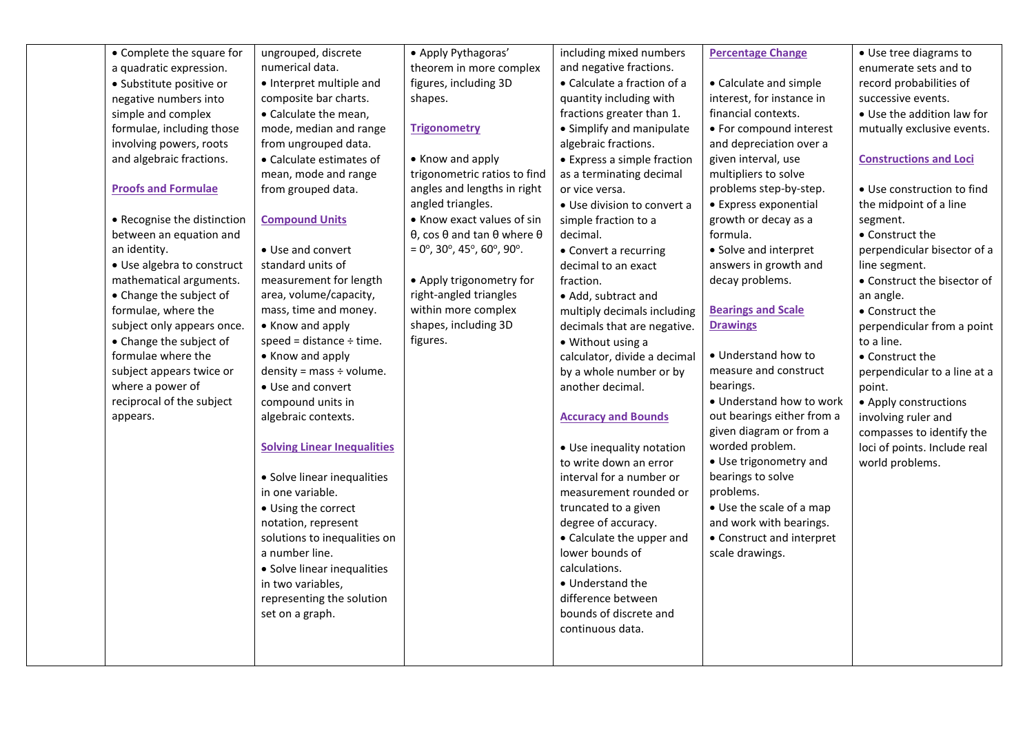| • Complete the square for   | ungrouped, discrete                | • Apply Pythagoras'                                                   | including mixed numbers      | <b>Percentage Change</b>   | • Use tree diagrams to        |
|-----------------------------|------------------------------------|-----------------------------------------------------------------------|------------------------------|----------------------------|-------------------------------|
| a quadratic expression.     | numerical data.                    | theorem in more complex                                               | and negative fractions.      |                            | enumerate sets and to         |
| · Substitute positive or    | • Interpret multiple and           | figures, including 3D                                                 | • Calculate a fraction of a  | • Calculate and simple     | record probabilities of       |
| negative numbers into       | composite bar charts.              | shapes.                                                               | quantity including with      | interest, for instance in  | successive events.            |
| simple and complex          | • Calculate the mean.              |                                                                       | fractions greater than 1.    | financial contexts.        | • Use the addition law for    |
| formulae, including those   | mode, median and range             | <b>Trigonometry</b>                                                   | • Simplify and manipulate    | • For compound interest    | mutually exclusive events.    |
| involving powers, roots     | from ungrouped data.               |                                                                       | algebraic fractions.         | and depreciation over a    |                               |
| and algebraic fractions.    | • Calculate estimates of           | • Know and apply                                                      | • Express a simple fraction  | given interval, use        | <b>Constructions and Loci</b> |
|                             | mean, mode and range               | trigonometric ratios to find                                          | as a terminating decimal     | multipliers to solve       |                               |
| <b>Proofs and Formulae</b>  | from grouped data.                 | angles and lengths in right                                           | or vice versa.               | problems step-by-step.     | • Use construction to find    |
|                             |                                    | angled triangles.                                                     | • Use division to convert a  | • Express exponential      | the midpoint of a line        |
| • Recognise the distinction | <b>Compound Units</b>              | • Know exact values of sin                                            | simple fraction to a         | growth or decay as a       | segment.                      |
| between an equation and     |                                    | $\theta$ , cos $\theta$ and tan $\theta$ where $\theta$               | decimal.                     | formula.                   | • Construct the               |
| an identity.                | • Use and convert                  | $= 0^\circ$ , 30 $^\circ$ , 45 $^\circ$ , 60 $^\circ$ , 90 $^\circ$ . | • Convert a recurring        | • Solve and interpret      | perpendicular bisector of a   |
| • Use algebra to construct  | standard units of                  |                                                                       | decimal to an exact          | answers in growth and      | line segment.                 |
| mathematical arguments.     | measurement for length             | • Apply trigonometry for                                              | fraction.                    | decay problems.            | • Construct the bisector of   |
| • Change the subject of     | area, volume/capacity,             | right-angled triangles                                                | • Add, subtract and          |                            | an angle.                     |
| formulae, where the         | mass, time and money.              | within more complex                                                   | multiply decimals including  | <b>Bearings and Scale</b>  | • Construct the               |
| subject only appears once.  | • Know and apply                   | shapes, including 3D                                                  | decimals that are negative.  | <b>Drawings</b>            | perpendicular from a point    |
| • Change the subject of     | speed = distance $\div$ time.      | figures.                                                              | • Without using a            |                            | to a line.                    |
| formulae where the          | • Know and apply                   |                                                                       | calculator, divide a decimal | • Understand how to        | • Construct the               |
| subject appears twice or    | density = mass $\div$ volume.      |                                                                       | by a whole number or by      | measure and construct      | perpendicular to a line at a  |
| where a power of            | • Use and convert                  |                                                                       | another decimal.             | bearings.                  | point.                        |
| reciprocal of the subject   | compound units in                  |                                                                       |                              | • Understand how to work   | • Apply constructions         |
| appears.                    | algebraic contexts.                |                                                                       | <b>Accuracy and Bounds</b>   | out bearings either from a | involving ruler and           |
|                             |                                    |                                                                       |                              | given diagram or from a    | compasses to identify the     |
|                             | <b>Solving Linear Inequalities</b> |                                                                       | • Use inequality notation    | worded problem.            | loci of points. Include real  |
|                             |                                    |                                                                       | to write down an error       | • Use trigonometry and     | world problems.               |
|                             | • Solve linear inequalities        |                                                                       | interval for a number or     | bearings to solve          |                               |
|                             | in one variable.                   |                                                                       | measurement rounded or       | problems.                  |                               |
|                             | • Using the correct                |                                                                       | truncated to a given         | • Use the scale of a map   |                               |
|                             | notation, represent                |                                                                       | degree of accuracy.          | and work with bearings.    |                               |
|                             | solutions to inequalities on       |                                                                       | • Calculate the upper and    | • Construct and interpret  |                               |
|                             | a number line.                     |                                                                       | lower bounds of              | scale drawings.            |                               |
|                             | • Solve linear inequalities        |                                                                       | calculations.                |                            |                               |
|                             | in two variables,                  |                                                                       | • Understand the             |                            |                               |
|                             | representing the solution          |                                                                       | difference between           |                            |                               |
|                             | set on a graph.                    |                                                                       | bounds of discrete and       |                            |                               |
|                             |                                    |                                                                       | continuous data.             |                            |                               |
|                             |                                    |                                                                       |                              |                            |                               |
|                             |                                    |                                                                       |                              |                            |                               |
|                             |                                    |                                                                       |                              |                            |                               |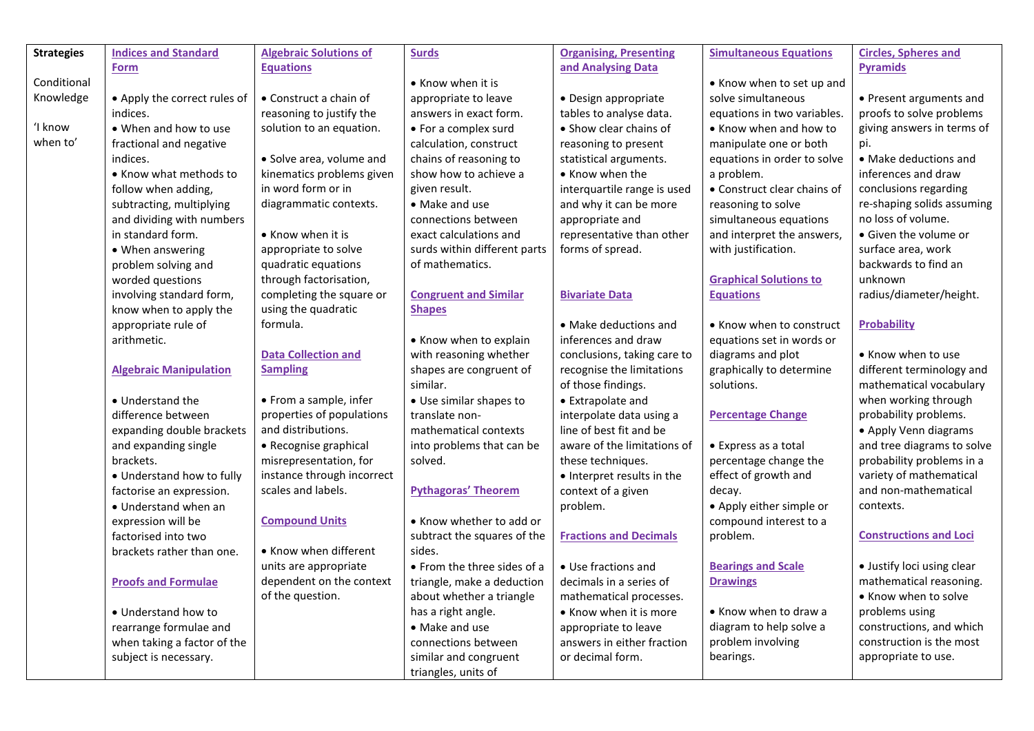| <b>Strategies</b><br><b>Indices and Standard</b><br><b>Algebraic Solutions of</b><br><b>Surds</b><br><b>Organising, Presenting</b><br><b>Simultaneous Equations</b><br><b>Circles, Spheres and</b><br>and Analysing Data<br><b>Pyramids</b><br><b>Equations</b><br><b>Form</b> |  |
|--------------------------------------------------------------------------------------------------------------------------------------------------------------------------------------------------------------------------------------------------------------------------------|--|
|                                                                                                                                                                                                                                                                                |  |
|                                                                                                                                                                                                                                                                                |  |
| Conditional<br>• Know when it is<br>• Know when to set up and                                                                                                                                                                                                                  |  |
| Knowledge<br>• Apply the correct rules of<br>• Construct a chain of<br>· Design appropriate<br>solve simultaneous<br>• Present arguments and<br>appropriate to leave                                                                                                           |  |
| indices.<br>reasoning to justify the<br>tables to analyse data.<br>equations in two variables.<br>proofs to solve problems<br>answers in exact form.                                                                                                                           |  |
| ʻI know<br>• When and how to use<br>solution to an equation.<br>• Show clear chains of<br>giving answers in terms of<br>• For a complex surd<br>• Know when and how to                                                                                                         |  |
| when to'<br>fractional and negative<br>calculation, construct<br>reasoning to present<br>manipulate one or both<br>pi.                                                                                                                                                         |  |
| · Solve area, volume and<br>chains of reasoning to<br>statistical arguments.<br>equations in order to solve<br>• Make deductions and<br>indices.                                                                                                                               |  |
| inferences and draw<br>kinematics problems given<br>show how to achieve a<br>a problem.<br>• Know what methods to<br>• Know when the                                                                                                                                           |  |
| in word form or in<br>follow when adding,<br>given result.<br>interquartile range is used<br>• Construct clear chains of<br>conclusions regarding                                                                                                                              |  |
| diagrammatic contexts.<br>re-shaping solids assuming<br>subtracting, multiplying<br>• Make and use<br>and why it can be more<br>reasoning to solve                                                                                                                             |  |
| no loss of volume.<br>and dividing with numbers<br>connections between<br>appropriate and<br>simultaneous equations                                                                                                                                                            |  |
| in standard form.<br>• Know when it is<br>exact calculations and<br>representative than other<br>and interpret the answers,<br>• Given the volume or                                                                                                                           |  |
| surds within different parts<br>forms of spread.<br>with justification.<br>surface area, work<br>• When answering<br>appropriate to solve                                                                                                                                      |  |
| quadratic equations<br>of mathematics.<br>backwards to find an<br>problem solving and                                                                                                                                                                                          |  |
| through factorisation,<br>unknown<br>worded questions<br><b>Graphical Solutions to</b>                                                                                                                                                                                         |  |
| completing the square or<br><b>Congruent and Similar</b><br><b>Equations</b><br>radius/diameter/height.<br>involving standard form,<br><b>Bivariate Data</b>                                                                                                                   |  |
| using the quadratic<br>know when to apply the<br><b>Shapes</b>                                                                                                                                                                                                                 |  |
| formula.<br>appropriate rule of<br><b>Probability</b><br>• Make deductions and<br>• Know when to construct                                                                                                                                                                     |  |
| arithmetic.<br>inferences and draw<br>• Know when to explain<br>equations set in words or                                                                                                                                                                                      |  |
| <b>Data Collection and</b><br>with reasoning whether<br>conclusions, taking care to<br>diagrams and plot<br>• Know when to use                                                                                                                                                 |  |
| <b>Sampling</b><br>shapes are congruent of<br>recognise the limitations<br>graphically to determine<br>different terminology and<br><b>Algebraic Manipulation</b>                                                                                                              |  |
| similar.<br>of those findings.<br>solutions.<br>mathematical vocabulary                                                                                                                                                                                                        |  |
| when working through<br>• Understand the<br>• From a sample, infer<br>• Use similar shapes to<br>• Extrapolate and                                                                                                                                                             |  |
| properties of populations<br>probability problems.<br>difference between<br>interpolate data using a<br><b>Percentage Change</b><br>translate non-                                                                                                                             |  |
| and distributions.<br>line of best fit and be<br>expanding double brackets<br>mathematical contexts<br>• Apply Venn diagrams                                                                                                                                                   |  |
| and expanding single<br>aware of the limitations of<br>and tree diagrams to solve<br>• Recognise graphical<br>into problems that can be<br>• Express as a total                                                                                                                |  |
| misrepresentation, for<br>solved.<br>percentage change the<br>probability problems in a<br>brackets.<br>these techniques.                                                                                                                                                      |  |
| instance through incorrect<br>effect of growth and<br>variety of mathematical<br>• Understand how to fully<br>• Interpret results in the                                                                                                                                       |  |
| and non-mathematical<br>scales and labels.<br><b>Pythagoras' Theorem</b><br>context of a given<br>decay.<br>factorise an expression.                                                                                                                                           |  |
| problem.<br>• Apply either simple or<br>contexts.<br>• Understand when an                                                                                                                                                                                                      |  |
| <b>Compound Units</b><br>• Know whether to add or<br>compound interest to a<br>expression will be                                                                                                                                                                              |  |
| <b>Constructions and Loci</b><br>subtract the squares of the<br><b>Fractions and Decimals</b><br>factorised into two<br>problem.                                                                                                                                               |  |
| • Know when different<br>sides.<br>brackets rather than one.                                                                                                                                                                                                                   |  |
| units are appropriate<br>• From the three sides of a<br>• Use fractions and<br>· Justify loci using clear<br><b>Bearings and Scale</b>                                                                                                                                         |  |
| dependent on the context<br><b>Drawings</b><br>mathematical reasoning.<br><b>Proofs and Formulae</b><br>triangle, make a deduction<br>decimals in a series of                                                                                                                  |  |
| of the question.<br>• Know when to solve<br>about whether a triangle<br>mathematical processes.                                                                                                                                                                                |  |
| has a right angle.<br>• Know when to draw a<br>• Understand how to<br>• Know when it is more<br>problems using                                                                                                                                                                 |  |
| constructions, and which<br>• Make and use<br>diagram to help solve a<br>rearrange formulae and<br>appropriate to leave                                                                                                                                                        |  |
| construction is the most<br>problem involving<br>when taking a factor of the<br>connections between<br>answers in either fraction                                                                                                                                              |  |
| similar and congruent<br>or decimal form.<br>bearings.<br>appropriate to use.<br>subject is necessary.                                                                                                                                                                         |  |
| triangles, units of                                                                                                                                                                                                                                                            |  |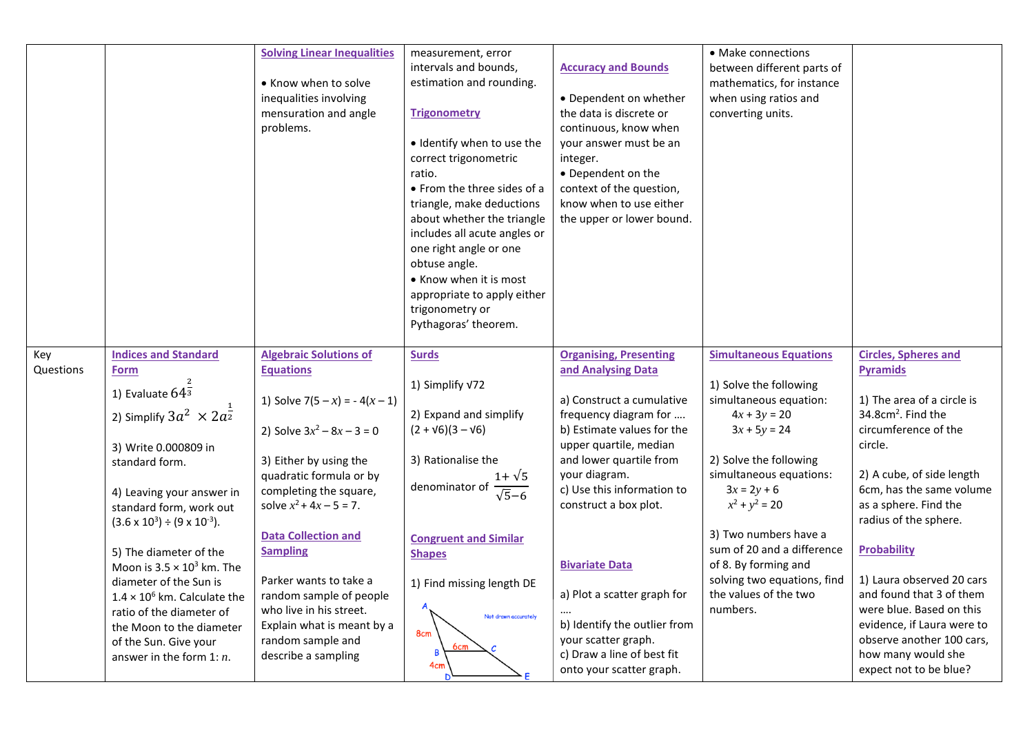|                  |                                                             | <b>Solving Linear Inequalities</b><br>• Know when to solve<br>inequalities involving<br>mensuration and angle<br>problems. | measurement, error<br>intervals and bounds,<br>estimation and rounding.<br><b>Trigonometry</b><br>· Identify when to use the<br>correct trigonometric<br>ratio.<br>• From the three sides of a<br>triangle, make deductions<br>about whether the triangle<br>includes all acute angles or<br>one right angle or one<br>obtuse angle.<br>• Know when it is most<br>appropriate to apply either<br>trigonometry or<br>Pythagoras' theorem. | <b>Accuracy and Bounds</b><br>• Dependent on whether<br>the data is discrete or<br>continuous, know when<br>your answer must be an<br>integer.<br>• Dependent on the<br>context of the question,<br>know when to use either<br>the upper or lower bound. | • Make connections<br>between different parts of<br>mathematics, for instance<br>when using ratios and<br>converting units. |                                                           |
|------------------|-------------------------------------------------------------|----------------------------------------------------------------------------------------------------------------------------|------------------------------------------------------------------------------------------------------------------------------------------------------------------------------------------------------------------------------------------------------------------------------------------------------------------------------------------------------------------------------------------------------------------------------------------|----------------------------------------------------------------------------------------------------------------------------------------------------------------------------------------------------------------------------------------------------------|-----------------------------------------------------------------------------------------------------------------------------|-----------------------------------------------------------|
| Key<br>Questions | <b>Indices and Standard</b><br><b>Form</b>                  | <b>Algebraic Solutions of</b><br><b>Equations</b>                                                                          | <b>Surds</b>                                                                                                                                                                                                                                                                                                                                                                                                                             | <b>Organising, Presenting</b><br>and Analysing Data                                                                                                                                                                                                      | <b>Simultaneous Equations</b>                                                                                               | <b>Circles, Spheres and</b><br><b>Pyramids</b>            |
|                  | 1) Evaluate $64^{\frac{2}{3}}$                              | 1) Solve $7(5-x) = -4(x-1)$                                                                                                | 1) Simplify V72                                                                                                                                                                                                                                                                                                                                                                                                                          | a) Construct a cumulative                                                                                                                                                                                                                                | 1) Solve the following<br>simultaneous equation:                                                                            | 1) The area of a circle is                                |
|                  | 2) Simplify $3a^2 \times 2a^{\frac{1}{2}}$                  |                                                                                                                            | 2) Expand and simplify                                                                                                                                                                                                                                                                                                                                                                                                                   | frequency diagram for                                                                                                                                                                                                                                    | $4x + 3y = 20$                                                                                                              | $34.8$ cm <sup>2</sup> . Find the<br>circumference of the |
|                  | 3) Write 0.000809 in                                        | 2) Solve $3x^2 - 8x - 3 = 0$                                                                                               | $(2 + \sqrt{6})(3 - \sqrt{6})$                                                                                                                                                                                                                                                                                                                                                                                                           | b) Estimate values for the<br>upper quartile, median                                                                                                                                                                                                     | $3x + 5y = 24$                                                                                                              | circle.                                                   |
|                  | standard form.                                              | 3) Either by using the<br>quadratic formula or by                                                                          | 3) Rationalise the                                                                                                                                                                                                                                                                                                                                                                                                                       | and lower quartile from<br>your diagram.                                                                                                                                                                                                                 | 2) Solve the following<br>simultaneous equations:                                                                           | 2) A cube, of side length                                 |
|                  | 4) Leaving your answer in                                   | completing the square,                                                                                                     | $\frac{1+\sqrt{5}}{\sqrt{5}-6}$<br>denominator of                                                                                                                                                                                                                                                                                                                                                                                        | c) Use this information to                                                                                                                                                                                                                               | $3x = 2y + 6$                                                                                                               | 6cm, has the same volume                                  |
|                  | standard form, work out                                     | solve $x^2$ + 4x – 5 = 7.                                                                                                  |                                                                                                                                                                                                                                                                                                                                                                                                                                          | construct a box plot.                                                                                                                                                                                                                                    | $x^2 + y^2 = 20$                                                                                                            | as a sphere. Find the<br>radius of the sphere.            |
|                  | $(3.6 \times 10^3) \div (9 \times 10^{-3}).$                | <b>Data Collection and</b>                                                                                                 | <b>Congruent and Similar</b>                                                                                                                                                                                                                                                                                                                                                                                                             |                                                                                                                                                                                                                                                          | 3) Two numbers have a                                                                                                       |                                                           |
|                  | 5) The diameter of the                                      | <b>Sampling</b>                                                                                                            | <b>Shapes</b>                                                                                                                                                                                                                                                                                                                                                                                                                            | <b>Bivariate Data</b>                                                                                                                                                                                                                                    | sum of 20 and a difference<br>of 8. By forming and                                                                          | <b>Probability</b>                                        |
|                  | Moon is $3.5 \times 10^3$ km. The<br>diameter of the Sun is | Parker wants to take a                                                                                                     | 1) Find missing length DE                                                                                                                                                                                                                                                                                                                                                                                                                |                                                                                                                                                                                                                                                          | solving two equations, find                                                                                                 | 1) Laura observed 20 cars                                 |
|                  | $1.4 \times 10^6$ km. Calculate the                         | random sample of people                                                                                                    |                                                                                                                                                                                                                                                                                                                                                                                                                                          | a) Plot a scatter graph for                                                                                                                                                                                                                              | the values of the two                                                                                                       | and found that 3 of them                                  |
|                  | ratio of the diameter of<br>the Moon to the diameter        | who live in his street.<br>Explain what is meant by a                                                                      | Not drawn accurately                                                                                                                                                                                                                                                                                                                                                                                                                     | b) Identify the outlier from                                                                                                                                                                                                                             | numbers.                                                                                                                    | were blue. Based on this<br>evidence, if Laura were to    |
|                  | of the Sun. Give your                                       | random sample and                                                                                                          | 8cm                                                                                                                                                                                                                                                                                                                                                                                                                                      | your scatter graph.                                                                                                                                                                                                                                      |                                                                                                                             | observe another 100 cars,                                 |
|                  | answer in the form $1: n$ .                                 | describe a sampling                                                                                                        | 4cm                                                                                                                                                                                                                                                                                                                                                                                                                                      | c) Draw a line of best fit<br>onto your scatter graph.                                                                                                                                                                                                   |                                                                                                                             | how many would she<br>expect not to be blue?              |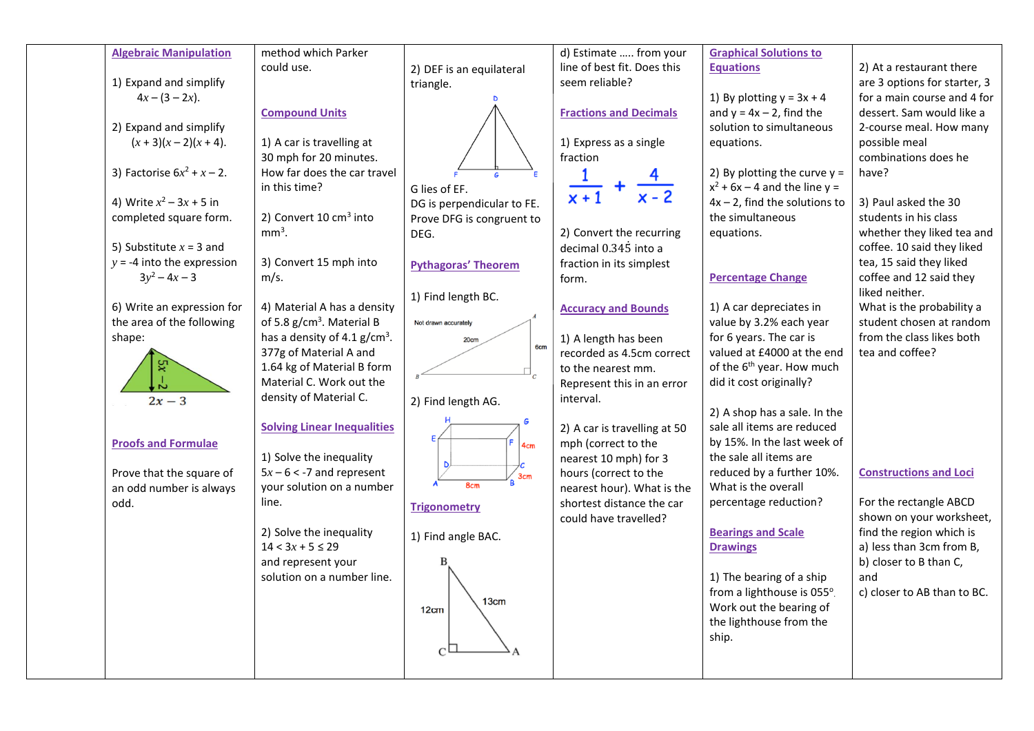| <b>Algebraic Manipulation</b> | method which Parker                   |                            | d) Estimate  from your        | <b>Graphical Solutions to</b>         |                               |
|-------------------------------|---------------------------------------|----------------------------|-------------------------------|---------------------------------------|-------------------------------|
|                               | could use.                            | 2) DEF is an equilateral   | line of best fit. Does this   | <b>Equations</b>                      | 2) At a restaurant there      |
| 1) Expand and simplify        |                                       | triangle.                  | seem reliable?                |                                       | are 3 options for starter, 3  |
| $4x - (3 - 2x)$ .             |                                       |                            |                               | 1) By plotting $y = 3x + 4$           | for a main course and 4 for   |
|                               | <b>Compound Units</b>                 |                            | <b>Fractions and Decimals</b> | and $y = 4x - 2$ , find the           | dessert. Sam would like a     |
| 2) Expand and simplify        |                                       |                            |                               | solution to simultaneous              | 2-course meal. How many       |
| $(x + 3)(x - 2)(x + 4)$ .     | 1) A car is travelling at             |                            | 1) Express as a single        | equations.                            | possible meal                 |
|                               | 30 mph for 20 minutes.                |                            | fraction                      |                                       | combinations does he          |
| 3) Factorise $6x^2 + x - 2$ . | How far does the car travel           |                            | $\frac{1}{x+1}$ +             | 2) By plotting the curve $y =$        | have?                         |
|                               | in this time?                         | G lies of EF.              |                               | $x^2$ + 6x – 4 and the line y =       |                               |
| 4) Write $x^2 - 3x + 5$ in    |                                       | DG is perpendicular to FE. |                               | $4x - 2$ , find the solutions to      | 3) Paul asked the 30          |
| completed square form.        | 2) Convert 10 cm <sup>3</sup> into    | Prove DFG is congruent to  |                               | the simultaneous                      | students in his class         |
|                               | $mm3$ .                               | DEG.                       | 2) Convert the recurring      | equations.                            | whether they liked tea and    |
| 5) Substitute $x = 3$ and     |                                       |                            | decimal 0.345 into a          |                                       | coffee. 10 said they liked    |
| $y = -4$ into the expression  | 3) Convert 15 mph into                | <b>Pythagoras' Theorem</b> | fraction in its simplest      |                                       | tea, 15 said they liked       |
| $3y^2 - 4x - 3$               | m/s.                                  |                            | form.                         | <b>Percentage Change</b>              | coffee and 12 said they       |
|                               |                                       | 1) Find length BC.         |                               |                                       | liked neither.                |
| 6) Write an expression for    | 4) Material A has a density           |                            | <b>Accuracy and Bounds</b>    | 1) A car depreciates in               | What is the probability a     |
| the area of the following     | of 5.8 g/cm <sup>3</sup> . Material B | Not drawn accurately       |                               | value by 3.2% each year               | student chosen at random      |
| shape:                        | has a density of 4.1 $g/cm3$ .        | 20cm<br>6 <sub>cm</sub>    | 1) A length has been          | for 6 years. The car is               | from the class likes both     |
|                               | 377g of Material A and                |                            | recorded as 4.5cm correct     | valued at £4000 at the end            | tea and coffee?               |
|                               | 1.64 kg of Material B form            |                            | to the nearest mm.            | of the 6 <sup>th</sup> year. How much |                               |
|                               | Material C. Work out the              |                            | Represent this in an error    | did it cost originally?               |                               |
| $2x-3$                        | density of Material C.                | 2) Find length AG.         | interval.                     |                                       |                               |
|                               |                                       |                            |                               | 2) A shop has a sale. In the          |                               |
|                               | <b>Solving Linear Inequalities</b>    |                            | 2) A car is travelling at 50  | sale all items are reduced            |                               |
| <b>Proofs and Formulae</b>    |                                       | 4cm                        | mph (correct to the           | by 15%. In the last week of           |                               |
|                               | 1) Solve the inequality               |                            | nearest 10 mph) for 3         | the sale all items are                |                               |
| Prove that the square of      | $5x - 6 < -7$ and represent           | 3cm                        | hours (correct to the         | reduced by a further 10%.             | <b>Constructions and Loci</b> |
| an odd number is always       | your solution on a number             | 8cm                        | nearest hour). What is the    | What is the overall                   |                               |
| odd.                          | line.                                 | <b>Trigonometry</b>        | shortest distance the car     | percentage reduction?                 | For the rectangle ABCD        |
|                               |                                       |                            | could have travelled?         |                                       | shown on your worksheet,      |
|                               | 2) Solve the inequality               | 1) Find angle BAC.         |                               | <b>Bearings and Scale</b>             | find the region which is      |
|                               | $14 < 3x + 5 \le 29$                  |                            |                               | <b>Drawings</b>                       | a) less than 3cm from B,      |
|                               | and represent your                    |                            |                               |                                       | b) closer to B than C,        |
|                               | solution on a number line.            |                            |                               | 1) The bearing of a ship              | and                           |
|                               |                                       | 13cm                       |                               | from a lighthouse is 055°.            | c) closer to AB than to BC.   |
|                               |                                       | 12cm                       |                               | Work out the bearing of               |                               |
|                               |                                       |                            |                               | the lighthouse from the               |                               |
|                               |                                       |                            |                               | ship.                                 |                               |
|                               |                                       | $\mathsf{C}^{\mathsf{I}}$  |                               |                                       |                               |
|                               |                                       |                            |                               |                                       |                               |